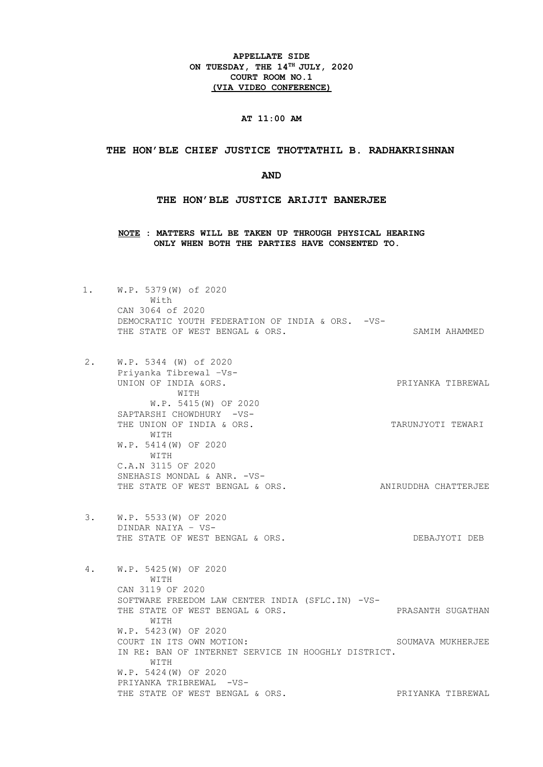**APPELLATE SIDE ON TUESDAY, THE 14TH JULY, 2020 COURT ROOM NO.1 (VIA VIDEO CONFERENCE)**

# **AT 11:00 AM**

### **THE HON'BLE CHIEF JUSTICE THOTTATHIL B. RADHAKRISHNAN**

### **AND**

### **THE HON'BLE JUSTICE ARIJIT BANERJEE**

**NOTE : MATTERS WILL BE TAKEN UP THROUGH PHYSICAL HEARING ONLY WHEN BOTH THE PARTIES HAVE CONSENTED TO.**

- 1. W.P. 5379(W) of 2020 With CAN 3064 of 2020 DEMOCRATIC YOUTH FEDERATION OF INDIA & ORS. -VS-THE STATE OF WEST BENGAL & ORS. SAMIM AHAMMED
- 2. W.P. 5344 (W) of 2020 Priyanka Tibrewal –Vs-UNION OF INDIA &ORS. PRIYANKA TIBREWAL WITH W.P. 5415(W) OF 2020 SAPTARSHI CHOWDHURY -VS-THE UNION OF INDIA & ORS. THE UNION OF THE UNION OF THE SAME OF STARING THE SAME OF THE UNION OF THE SAME OF STARING OF THE SAME OF THE SAME OF THE SAME OF THE SAME OF THE SAME OF THE SAME OF THE SAME OF THE SAME OF THE SA WITH W.P. 5414(W) OF 2020 WITH C.A.N 3115 OF 2020 SNEHASIS MONDAL & ANR. -VS-<br>THE STATE OF WEST BENGAL & ORS. ANIRUDDHA CHATTERJEE
- 3. W.P. 5533(W) OF 2020 DINDAR NAIYA – VS-THE STATE OF WEST BENGAL & ORS. THE STATE OF DEBAJYOTI DEB

4. W.P. 5425(W) OF 2020 WITH CAN 3119 OF 2020 SOFTWARE FREEDOM LAW CENTER INDIA (SFLC.IN) -VS-THE STATE OF WEST BENGAL & ORS. THE STATE OF WEST PRASANTH SUGATHAN WITH W.P. 5423(W) OF 2020 COURT IN ITS OWN MOTION: SOUMAVA MUKHERJEE IN RE: BAN OF INTERNET SERVICE IN HOOGHLY DISTRICT. WITH W.P. 5424(W) OF 2020 PRIYANKA TRIBREWAL -VS-THE STATE OF WEST BENGAL & ORS. THE STATE OF WEST BENGAL & ORS.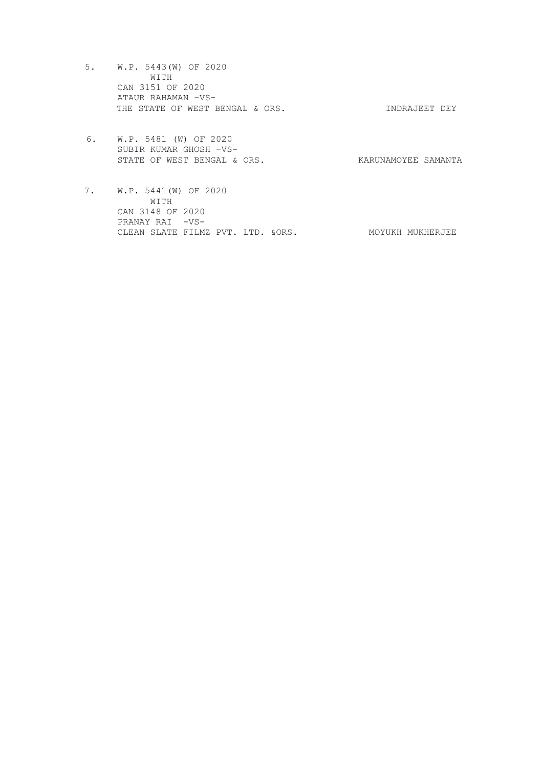- 5. W.P. 5443(W) OF 2020 WITH CAN 3151 OF 2020 ATAUR RAHAMAN –VS-THE STATE OF WEST BENGAL & ORS. THE STATE OF WEST SENGAL & ORS.
- 6. W.P. 5481 (W) OF 2020 SUBIR KUMAR GHOSH –VS-STATE OF WEST BENGAL & ORS. KARUNAMOYEE SAMANTA
- 7. W.P. 5441(W) OF 2020 WITH CAN 3148 OF 2020 PRANAY RAI -VS-CLEAN SLATE FILMZ PVT. LTD. & ORS. MOYUKH MUKHERJEE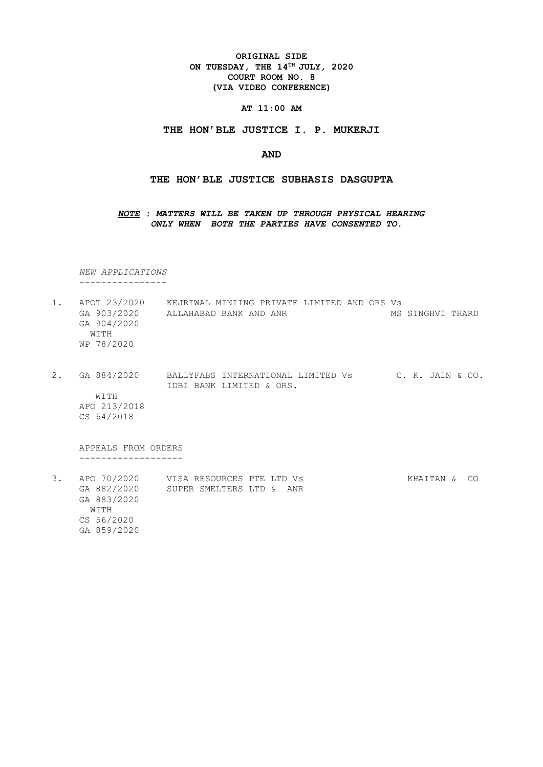**ORIGINAL SIDE ON TUESDAY, THE 14TH JULY, 2020 COURT ROOM NO. 8 (VIA VIDEO CONFERENCE)**

**AT 11:00 AM**

### **THE HON'BLE JUSTICE I. P. MUKERJI**

## **AND**

## **THE HON'BLE JUSTICE SUBHASIS DASGUPTA**

*NOTE : MATTERS WILL BE TAKEN UP THROUGH PHYSICAL HEARING ONLY WHEN BOTH THE PARTIES HAVE CONSENTED TO.*

 *NEW APPLICATIONS* ----------------

- 1. APOT 23/2020 KEJRIWAL MINIING PRIVATE LIMITED AND ORS Vs GA 903/2020 ALLAHABAD BANK AND ANR MS SINGHVI THARD GA 904/2020 WITH WP 78/2020
- 2. GA 884/2020 BALLYFABS INTERNATIONAL LIMITED Vs C. K. JAIN & CO. IDBI BANK LIMITED & ORS. WITH APO 213/2018

CS 64/2018

 APPEALS FROM ORDERS -------------------

3. APO 70/2020 VISA RESOURCES PTE LTD Vs KHAITAN & CO GA 882/2020 SUPER SMELTERS LTD & ANR GA 883/2020 WITH CS 56/2020 GA 859/2020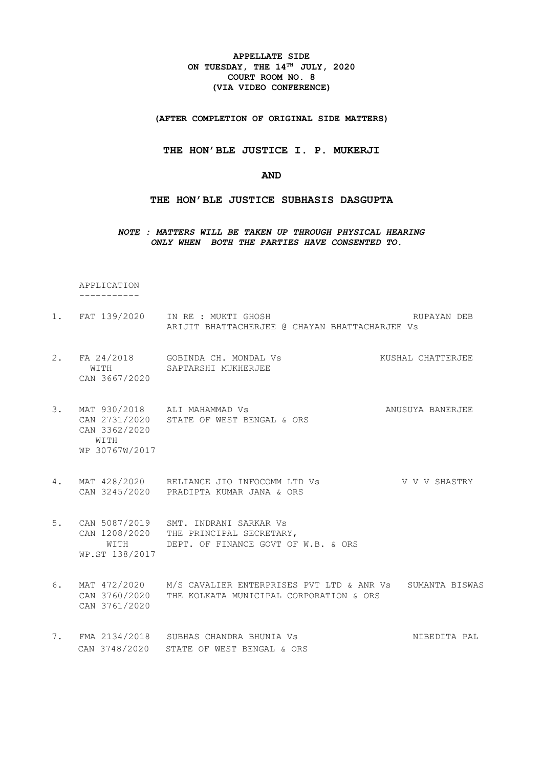**APPELLATE SIDE ON TUESDAY, THE 14TH JULY, 2020 COURT ROOM NO. 8 (VIA VIDEO CONFERENCE)**

**(AFTER COMPLETION OF ORIGINAL SIDE MATTERS)**

**THE HON'BLE JUSTICE I. P. MUKERJI**

**AND**

**THE HON'BLE JUSTICE SUBHASIS DASGUPTA**

*NOTE : MATTERS WILL BE TAKEN UP THROUGH PHYSICAL HEARING ONLY WHEN BOTH THE PARTIES HAVE CONSENTED TO.*

APPLICATION

-----------

- 1. FAT 139/2020 IN RE : MUKTI GHOSH **RUPAYAN DEB** ARIJIT BHATTACHERJEE @ CHAYAN BHATTACHARJEE Vs
- 2. FA 24/2018 GOBINDA CH. MONDAL VS KUSHAL CHATTERJEE WITH SAPTARSHI MUKHERJEE CAN 3667/2020
- 3. MAT 930/2018 ALI MAHAMMAD Vs **ANUSUYA BANGR**JEE CAN 2731/2020 STATE OF WEST BENGAL & ORS CAN 3362/2020 WITH WP 30767W/2017
- 4. MAT 428/2020 RELIANCE JIO INFOCOMM LTD Vs V V V V SHASTRY CAN 3245/2020 PRADIPTA KUMAR JANA & ORS
- 5. CAN 5087/2019 SMT. INDRANI SARKAR Vs CAN 1208/2020 THE PRINCIPAL SECRETARY, WITH DEPT. OF FINANCE GOVT OF W.B. & ORS WP.ST 138/2017
- 6. MAT 472/2020 M/S CAVALIER ENTERPRISES PVT LTD & ANR Vs SUMANTA BISWAS CAN 3760/2020 THE KOLKATA MUNICIPAL CORPORATION & ORS CAN 3761/2020
- 7. FMA 2134/2018 SUBHAS CHANDRA BHUNIA Vs NIBEDITA PAL CAN 3748/2020 STATE OF WEST BENGAL & ORS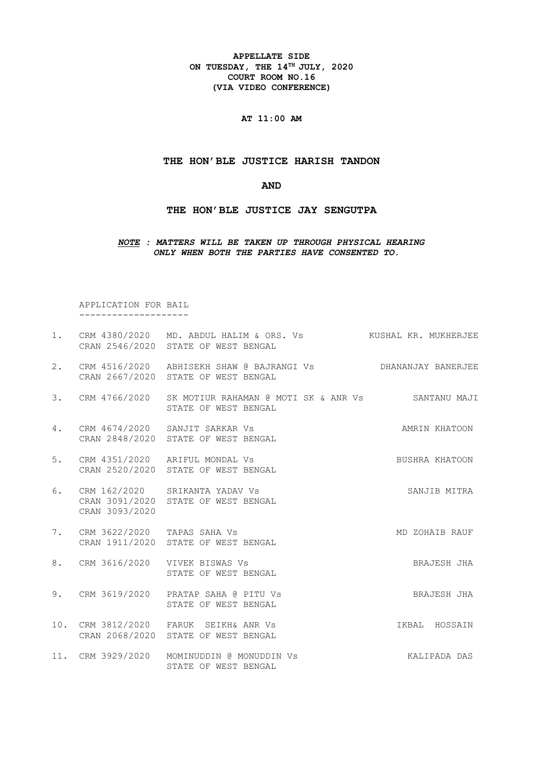**APPELLATE SIDE ON TUESDAY, THE 14TH JULY, 2020 COURT ROOM NO.16 (VIA VIDEO CONFERENCE)**

**AT 11:00 AM**

## **THE HON'BLE JUSTICE HARISH TANDON**

**AND**

**THE HON'BLE JUSTICE JAY SENGUTPA**

## *NOTE : MATTERS WILL BE TAKEN UP THROUGH PHYSICAL HEARING ONLY WHEN BOTH THE PARTIES HAVE CONSENTED TO.*

 APPLICATION FOR BAIL --------------------

|    |                                | 1. CRM 4380/2020 MD. ABDUL HALIM & ORS. Vs KUSHAL KR. MUKHERJEE<br>CRAN 2546/2020 STATE OF WEST BENGAL |                |
|----|--------------------------------|--------------------------------------------------------------------------------------------------------|----------------|
|    |                                | 2. CRM 4516/2020 ABHISEKH SHAW @ BAJRANGI Vs DHANANJAY BANERJEE<br>CRAN 2667/2020 STATE OF WEST BENGAL |                |
|    |                                | 3. CRM 4766/2020 SK MOTIUR RAHAMAN @ MOTI SK & ANR Vs SANTANU MAJI<br>STATE OF WEST BENGAL             |                |
| 4. |                                | CRM 4674/2020 SANJIT SARKAR Vs<br>CRAN 2848/2020 STATE OF WEST BENGAL                                  | AMRIN KHATOON  |
|    |                                | 5. CRM 4351/2020 ARIFUL MONDAL Vs<br>CRAN 2520/2020 STATE OF WEST BENGAL                               | BUSHRA KHATOON |
| 6. | CRAN 3093/2020                 | CRM 162/2020 SRIKANTA YADAV Vs<br>CRAN 3091/2020 STATE OF WEST BENGAL                                  | SANJIB MITRA   |
|    | 7. CRM 3622/2020 TAPAS SAHA Vs | CRAN 1911/2020 STATE OF WEST BENGAL                                                                    | MD ZOHAIB RAUF |
| 8. |                                | CRM 3616/2020 VIVEK BISWAS Vs<br>STATE OF WEST BENGAL                                                  | BRAJESH JHA    |
| 9. |                                | CRM 3619/2020 PRATAP SAHA @ PITU Vs<br>STATE OF WEST BENGAL                                            | BRAJESH JHA    |
|    |                                | 10. CRM 3812/2020 FARUK SEIKH& ANR Vs<br>CRAN 2068/2020 STATE OF WEST BENGAL                           | IKBAL HOSSAIN  |
|    |                                | 11. CRM 3929/2020 MOMINUDDIN @ MONUDDIN Vs                                                             | KALIPADA DAS   |

STATE OF WEST BENGAL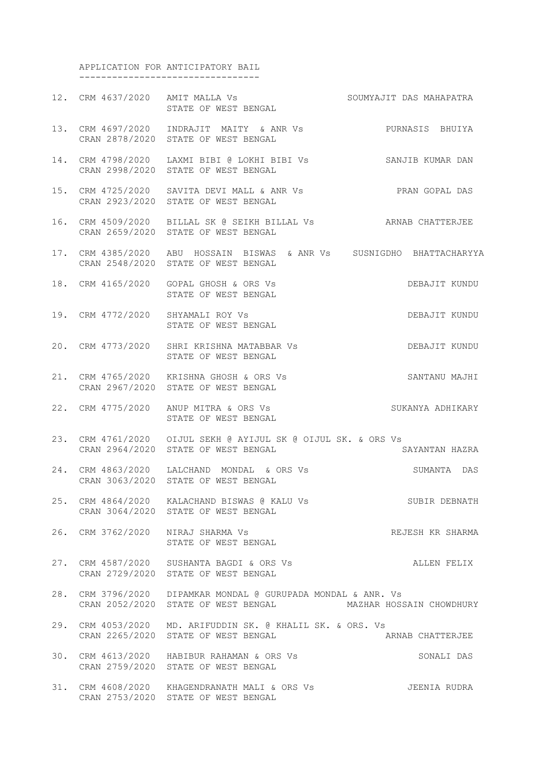APPLICATION FOR ANTICIPATORY BAIL ---------------------------------

12. CRM 4637/2020 AMIT MALLA Vs SOUMYAJIT DAS MAHAPATRA INII PANDAN VS<br>STATE OF WEST BENGAL 13. CRM 4697/2020 INDRAJIT MAITY & ANR Vs PURNASIS BHUIYA CRAN 2878/2020 STATE OF WEST BENGAL 14. CRM 4798/2020 LAXMI BIBI @ LOKHI BIBI Vs SANJIB KUMAR DAN CRAN 2998/2020 STATE OF WEST BENGAL 15. CRM 4725/2020 SAVITA DEVI MALL & ANR Vs PRAN GOPAL DAS CRAN 2923/2020 STATE OF WEST BENGAL 16. CRM 4509/2020 BILLAL SK @ SEIKH BILLAL Vs ARNAB CHATTERJEE CRAN 2659/2020 STATE OF WEST BENGAL 17. CRM 4385/2020 ABU HOSSAIN BISWAS & ANR Vs SUSNIGDHO BHATTACHARYYA CRAN 2548/2020 STATE OF WEST BENGAL 18. CRM 4165/2020 GOPAL GHOSH & ORS Vs DEBAJIT KUNDU STATE OF WEST BENGAL 19. CRM 4772/2020 SHYAMALI ROY Vs DEBAJIT KUNDU STATE OF WEST BENGAL 20. CRM 4773/2020 SHRI KRISHNA MATABBAR Vs DEBAJIT KUNDU STATE OF WEST BENGAL 21. CRM 4765/2020 KRISHNA GHOSH & ORS Vs SANTANU MAJHI CRAN 2967/2020 STATE OF WEST BENGAL 22. CRM 4775/2020 ANUP MITRA & ORS Vs SUKANYA ADHIKARY STATE OF WEST BENGAL 23. CRM 4761/2020 OIJUL SEKH @ AYIJUL SK @ OIJUL SK. & ORS Vs CRAN 2964/2020 STATE OF WEST BENGAL SAYANTAN HAZRA 24. CRM 4863/2020 LALCHAND MONDAL & ORS Vs SUMANTA DAS CRAN 3063/2020 STATE OF WEST BENGAL 25. CRM 4864/2020 KALACHAND BISWAS @ KALU Vs SUBIR DEBNATH CRAN 3064/2020 STATE OF WEST BENGAL 26. CRM 3762/2020 NIRAJ SHARMA Vs REJESH KR SHARMA STATE OF WEST BENGAL 27. CRM 4587/2020 SUSHANTA BAGDI & ORS Vs ALLEN FELIX CRAN 2729/2020 STATE OF WEST BENGAL 28. CRM 3796/2020 DIPAMKAR MONDAL @ GURUPADA MONDAL & ANR. Vs CRAN 2052/2020 STATE OF WEST BENGAL MAZHAR HOSSAIN CHOWDHURY 29. CRM 4053/2020 MD. ARIFUDDIN SK. @ KHALIL SK. & ORS. Vs CRAN 2265/2020 STATE OF WEST BENGAL ARNAB CHATTERJEE 30. CRM 4613/2020 HABIBUR RAHAMAN & ORS Vs SONALI DAS CRAN 2759/2020 STATE OF WEST BENGAL 31. CRM 4608/2020 KHAGENDRANATH MALI & ORS Vs JEENIA RUDRA CRAN 2753/2020 STATE OF WEST BENGAL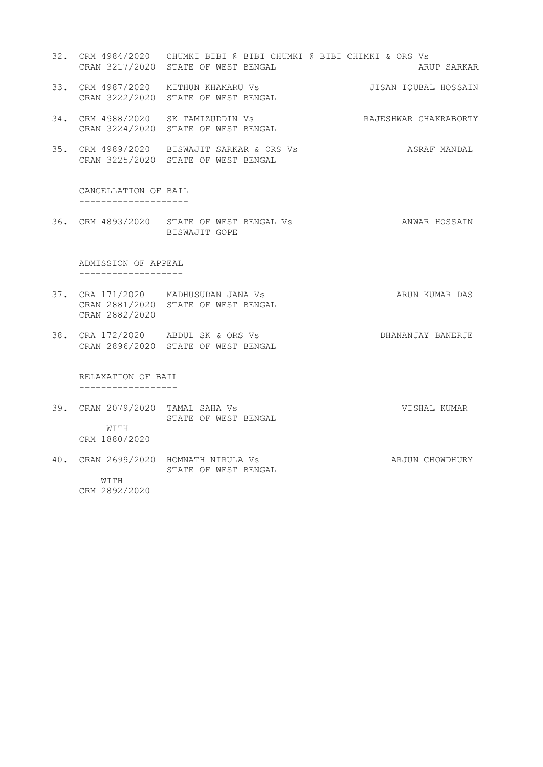- 32. CRM 4984/2020 CHUMKI BIBI @ BIBI CHUMKI @ BIBI CHIMKI & ORS Vs CRAN 3217/2020 STATE OF WEST BENGAL ARUP SARUP SARKAR
- 33. CRM 4987/2020 MITHUN KHAMARU Vs JISAN IQUBAL HOSSAIN
- 34. CRM 4988/2020 SK TAMIZUDDIN Vs RAJESHWAR CHAKRABORTY CRAN 3224/2020 STATE OF WEST BENGAL
- 35. CRM 4989/2020 BISWAJIT SARKAR & ORS Vs ASRAF MANDAL CRAN 3225/2020 STATE OF WEST BENGAL

 CANCELLATION OF BAIL --------------------

CRAN 3222/2020 STATE OF WEST BENGAL

36. CRM 4893/2020 STATE OF WEST BENGAL Vs **ANWAR HOSSAIN** BISWAJIT GOPE

 ADMISSION OF APPEAL -------------------

- 37. CRA 171/2020 MADHUSUDAN JANA Vs ARUN KUMAR DAS CRAN 2881/2020 STATE OF WEST BENGAL CRAN 2882/2020
- 38. CRA 172/2020 ABDUL SK & ORS Vs DHANANJAY BANERJE CRAN 2896/2020 STATE OF WEST BENGAL

 RELAXATION OF BAIL ------------------

- 39. CRAN 2079/2020 TAMAL SAHA Vs VISHAL KUMAR STATE OF WEST BENGAL WITH CRM 1880/2020
- 40. CRAN 2699/2020 HOMNATH NIRULA Vs ARJUN CHOWDHURY STATE OF WEST BENGAL WITH CRM 2892/2020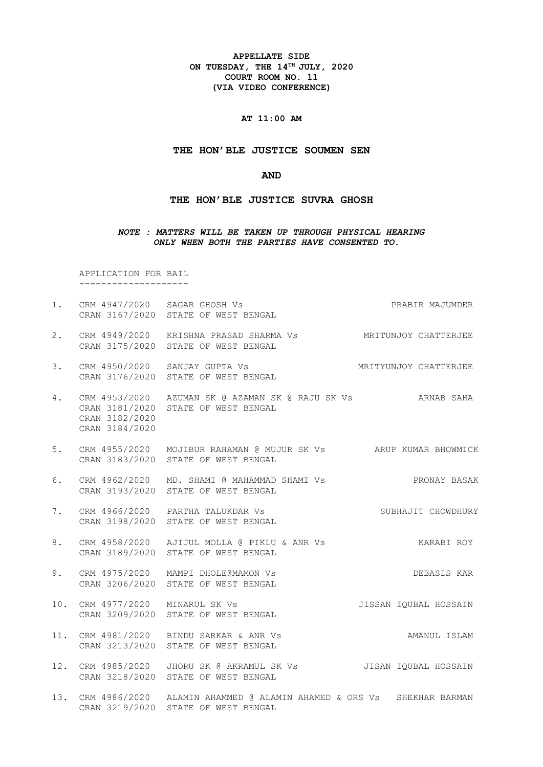**APPELLATE SIDE ON TUESDAY, THE 14TH JULY, 2020 COURT ROOM NO. 11 (VIA VIDEO CONFERENCE)**

# **AT 11:00 AM**

### **THE HON'BLE JUSTICE SOUMEN SEN**

#### **AND**

### **THE HON'BLE JUSTICE SUVRA GHOSH**

### *NOTE : MATTERS WILL BE TAKEN UP THROUGH PHYSICAL HEARING ONLY WHEN BOTH THE PARTIES HAVE CONSENTED TO.*

 APPLICATION FOR BAIL --------------------

1. CRM 4947/2020 SAGAR GHOSH Vs PRABIR MAJUMDER CRAN 3167/2020 STATE OF WEST BENGAL 2. CRM 4949/2020 KRISHNA PRASAD SHARMA Vs MRITUNJOY CHATTERJEE CRAN 3175/2020 STATE OF WEST BENGAL 3. CRM 4950/2020 SANJAY GUPTA Vs MRITYUNJOY CHATTERJEE CRAN 3176/2020 STATE OF WEST BENGAL 4. CRM 4953/2020 AZUMAN SK @ AZAMAN SK @ RAJU SK Vs ARNAB SAHA CRAN 3181/2020 STATE OF WEST BENGAL CRAN 3182/2020 CRAN 3184/2020 5. CRM 4955/2020 MOJIBUR RAHAMAN @ MUJUR SK Vs ARUP KUMAR BHOWMICK CRAN 3183/2020 STATE OF WEST BENGAL 6. CRM 4962/2020 MD. SHAMI @ MAHAMMAD SHAMI Vs PRONAY BASAK CRAN 3193/2020 STATE OF WEST BENGAL 7. CRM 4966/2020 PARTHA TALUKDAR Vs SUBHAJIT CHOWDHURY CRAN 3198/2020 STATE OF WEST BENGAL 8. CRM 4958/2020 AJIJUL MOLLA @ PIKLU & ANR Vs KARABI ROY CRAN 3189/2020 STATE OF WEST BENGAL 9. CRM 4975/2020 MAMPI DHOLE@MAMON Vs DEBASIS KAR CRAN 3206/2020 STATE OF WEST BENGAL 10. CRM 4977/2020 MINARUL SK Vs JISSAN IQUBAL HOSSAIN CRAN 3209/2020 STATE OF WEST BENGAL 11. CRM 4981/2020 BINDU SARKAR & ANR Vs AMANUL ISLAM CRAN 3213/2020 STATE OF WEST BENGAL 12. CRM 4985/2020 JHORU SK @ AKRAMUL SK Vs JISAN IQUBAL HOSSAIN CRAN 3218/2020 STATE OF WEST BENGAL 13. CRM 4986/2020 ALAMIN AHAMMED @ ALAMIN AHAMED & ORS Vs SHEKHAR BARMAN CRAN 3219/2020 STATE OF WEST BENGAL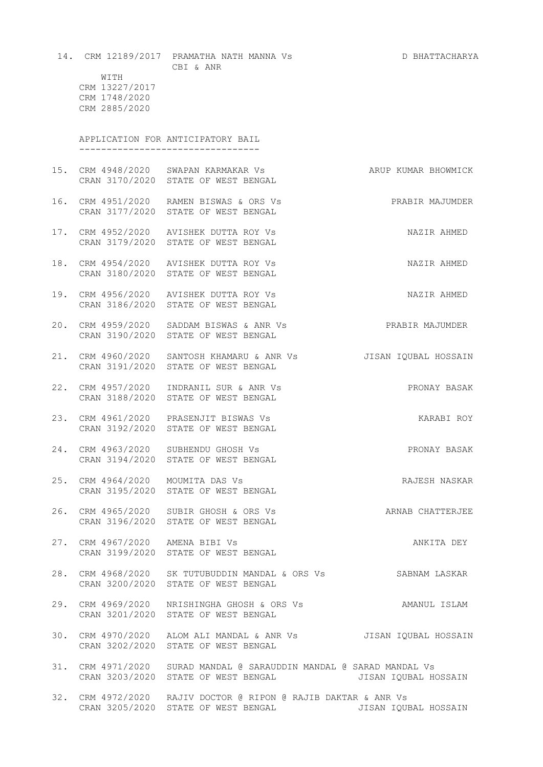|                                                          | 14. CRM 12189/2017 PRAMATHA NATH MANNA Vs<br>CBI & ANR                                                     | D BHATTACHARYA       |
|----------------------------------------------------------|------------------------------------------------------------------------------------------------------------|----------------------|
| WITH<br>CRM 13227/2017<br>CRM 1748/2020<br>CRM 2885/2020 |                                                                                                            |                      |
|                                                          | APPLICATION FOR ANTICIPATORY BAIL                                                                          |                      |
|                                                          | 15. CRM 4948/2020 SWAPAN KARMAKAR Vs<br>CRAN 3170/2020 STATE OF WEST BENGAL                                | ARUP KUMAR BHOWMICK  |
|                                                          | 16. CRM 4951/2020 RAMEN BISWAS & ORS Vs<br>CRAN 3177/2020 STATE OF WEST BENGAL                             | PRABIR MAJUMDER      |
|                                                          | 17. CRM 4952/2020 AVISHEK DUTTA ROY Vs<br>CRAN 3179/2020 STATE OF WEST BENGAL                              | NAZIR AHMED          |
|                                                          | 18. CRM 4954/2020 AVISHEK DUTTA ROY Vs<br>CRAN 3180/2020 STATE OF WEST BENGAL                              | NAZIR AHMED          |
|                                                          | 19. CRM 4956/2020 AVISHEK DUTTA ROY Vs<br>CRAN 3186/2020 STATE OF WEST BENGAL                              | NAZIR AHMED          |
|                                                          | 20. CRM 4959/2020 SADDAM BISWAS & ANR Vs<br>CRAN 3190/2020 STATE OF WEST BENGAL                            | PRABIR MAJUMDER      |
|                                                          | 21. CRM 4960/2020 SANTOSH KHAMARU & ANR Vs<br>CRAN 3191/2020 STATE OF WEST BENGAL                          | JISAN IQUBAL HOSSAIN |
|                                                          | 22. CRM 4957/2020  INDRANIL SUR & ANR Vs<br>CRAN 3188/2020 STATE OF WEST BENGAL                            | PRONAY BASAK         |
|                                                          | 23. CRM 4961/2020 PRASENJIT BISWAS Vs<br>CRAN 3192/2020 STATE OF WEST BENGAL                               | KARABI ROY           |
|                                                          | 24. CRM 4963/2020 SUBHENDU GHOSH Vs<br>CRAN 3194/2020 STATE OF WEST BENGAL                                 | PRONAY BASAK         |
| 25. CRM 4964/2020 MOUMITA DAS Vs                         | CRAN 3195/2020 STATE OF WEST BENGAL                                                                        | RAJESH NASKAR        |
|                                                          | 26. CRM 4965/2020 SUBIR GHOSH & ORS Vs<br>CRAN 3196/2020 STATE OF WEST BENGAL                              | ARNAB CHATTERJEE     |
| 27. CRM 4967/2020 AMENA BIBI Vs                          | CRAN 3199/2020 STATE OF WEST BENGAL                                                                        | ANKITA DEY           |
|                                                          | 28. CRM 4968/2020 SK TUTUBUDDIN MANDAL & ORS Vs SABNAM LASKAR<br>CRAN 3200/2020 STATE OF WEST BENGAL       |                      |
|                                                          | 29. CRM 4969/2020 NRISHINGHA GHOSH & ORS Vs AMANUL ISLAM<br>CRAN 3201/2020 STATE OF WEST BENGAL            |                      |
|                                                          | 30. CRM 4970/2020 ALOM ALI MANDAL & ANR Vs   JISAN IQUBAL HOSSAIN<br>CRAN 3202/2020 STATE OF WEST BENGAL   |                      |
|                                                          | 31. CRM 4971/2020 SURAD MANDAL @ SARAUDDIN MANDAL @ SARAD MANDAL Vs<br>CRAN 3203/2020 STATE OF WEST BENGAL | JISAN IQUBAL HOSSAIN |
|                                                          | 32. CRM 4972/2020 RAJIV DOCTOR @ RIPON @ RAJIB DAKTAR & ANR Vs<br>CRAN 3205/2020 STATE OF WEST BENGAL      | JISAN IQUBAL HOSSAIN |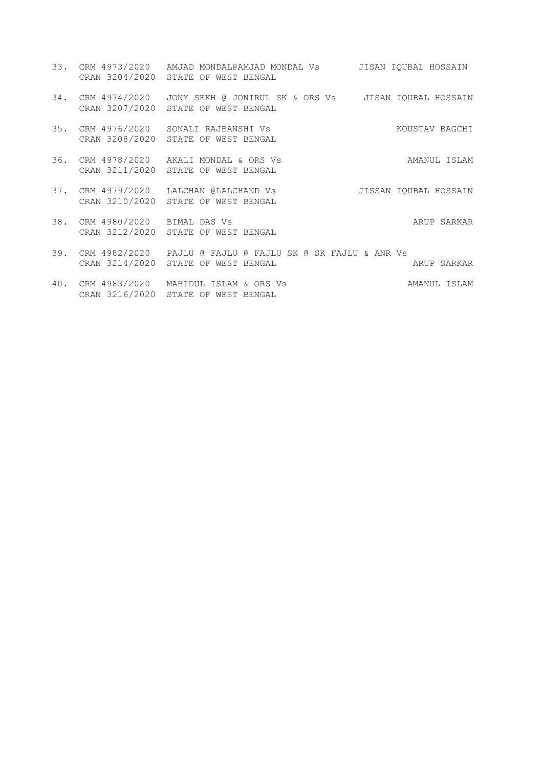- 33. CRM 4973/2020 AMJAD MONDAL@AMJAD MONDAL Vs JISAN IQUBAL HOSSAIN CRAN 3204/2020 STATE OF WEST BENGAL 34. CRM 4974/2020 JONY SEKH @ JONIRUL SK & ORS Vs JISAN IQUBAL HOSSAIN CRAN 3207/2020 STATE OF WEST BENGAL 35. CRM 4976/2020 SONALI RAJBANSHI Vs KOUSTAV BAGCHI CRAN 3208/2020 STATE OF WEST BENGAL 36. CRM 4978/2020 AKALI MONDAL & ORS Vs AMANUL ISLAM CRAN 3211/2020 STATE OF WEST BENGAL 37. CRM 4979/2020 LALCHAN @LALCHAND Vs JISSAN IQUBAL HOSSAIN CRAN 3210/2020 STATE OF WEST BENGAL 38. CRM 4980/2020 BIMAL DAS Vs ARUP SARKAR CRAN 3212/2020 STATE OF WEST BENGAL 39. CRM 4982/2020 PAJLU @ FAJLU @ FAJLU SK @ SK FAJLU & ANR Vs CRAN 3214/2020 STATE OF WEST BENGAL ARUP SARKAR ARUP SARKAR
- 40. CRM 4983/2020 MAHIDUL ISLAM & ORS Vs AMANUL ISLAM CRAN 3216/2020 STATE OF WEST BENGAL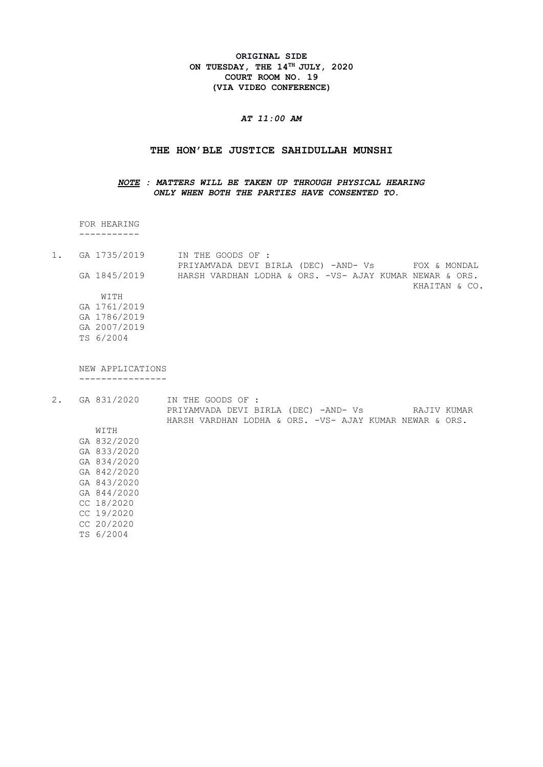**ORIGINAL SIDE ON TUESDAY, THE 14TH JULY, 2020 COURT ROOM NO. 19 (VIA VIDEO CONFERENCE)**

# *AT 11:00 AM*

## **THE HON'BLE JUSTICE SAHIDULLAH MUNSHI**

# *NOTE : MATTERS WILL BE TAKEN UP THROUGH PHYSICAL HEARING ONLY WHEN BOTH THE PARTIES HAVE CONSENTED TO.*

 FOR HEARING -----------

1. GA 1735/2019 IN THE GOODS OF : PRIYAMVADA DEVI BIRLA (DEC) -AND- Vs FOX & MONDAL GA 1845/2019 HARSH VARDHAN LODHA & ORS. -VS- AJAY KUMAR NEWAR & ORS. KHAITAN & CO. WITH GA 1761/2019 GA 1786/2019 GA 2007/2019 TS 6/2004

 NEW APPLICATIONS ----------------

2. GA 831/2020 IN THE GOODS OF : PRIYAMVADA DEVI BIRLA (DEC) -AND- Vs RAJIV KUMAR HARSH VARDHAN LODHA & ORS. -VS- AJAY KUMAR NEWAR & ORS. WITH GA 832/2020 GA 833/2020 GA 834/2020 GA 842/2020 GA 843/2020 GA 844/2020 CC 18/2020 CC 19/2020 CC 20/2020 TS 6/2004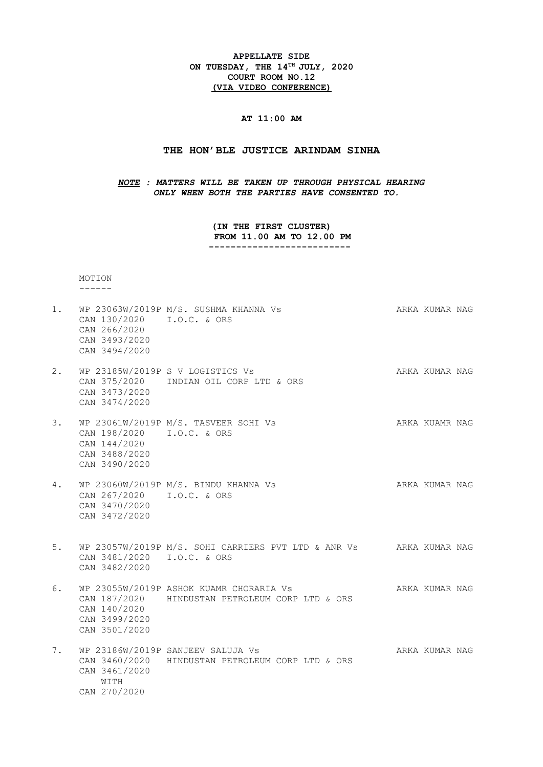**APPELLATE SIDE ON TUESDAY, THE 14TH JULY, 2020 COURT ROOM NO.12 (VIA VIDEO CONFERENCE)**

# **AT 11:00 AM**

### **THE HON'BLE JUSTICE ARINDAM SINHA**

*NOTE : MATTERS WILL BE TAKEN UP THROUGH PHYSICAL HEARING ONLY WHEN BOTH THE PARTIES HAVE CONSENTED TO.*

> **(IN THE FIRST CLUSTER) FROM 11.00 AM TO 12.00 PM --------------------------**

MOTION

------

- 1. WP 23063W/2019P M/S. SUSHMA KHANNA Vs ARKA KUMAR NAG CAN 130/2020 I.O.C. & ORS CAN 266/2020 CAN 3493/2020 CAN 3494/2020
- 2. WP 23185W/2019P S V LOGISTICS Vs ARKA KUMAR NAG CAN 375/2020 INDIAN OIL CORP LTD & ORS CAN 3473/2020 CAN 3474/2020
- 3. WP 23061W/2019P M/S. TASVEER SOHI Vs ARKA KUAMR NAG CAN 198/2020 I.O.C. & ORS CAN 144/2020 CAN 3488/2020 CAN 3490/2020
- 4. WP 23060W/2019P M/S. BINDU KHANNA Vs ARKA KUMAR NAG CAN 267/2020 I.O.C. & ORS CAN 3470/2020 CAN 3472/2020
- 5. WP 23057W/2019P M/S. SOHI CARRIERS PVT LTD & ANR Vs ARKA KUMAR NAG CAN 3481/2020 I.O.C. & ORS CAN 3482/2020
- 6. WP 23055W/2019P ASHOK KUAMR CHORARIA Vs ARKA KUMAR NAG CAN 187/2020 HINDUSTAN PETROLEUM CORP LTD & ORS CAN 140/2020 CAN 3499/2020 CAN 3501/2020
- 7. WP 23186W/2019P SANJEEV SALUJA Vs AND ARKA KUMAR NAG CAN 3460/2020 HINDUSTAN PETROLEUM CORP LTD & ORS CAN 3461/2020 WITH CAN 270/2020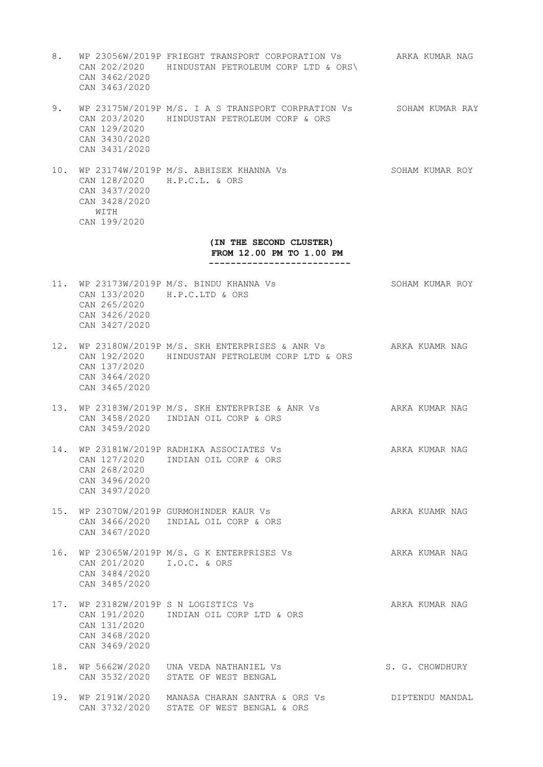- 8. WP 23056W/2019P FRIEGHT TRANSPORT CORPORATION Vs ARKA KUMAR NAG CAN 202/2020 HINDUSTAN PETROLEUM CORP LTD & ORS\ CAN 3462/2020 CAN 3463/2020
- 9. WP 23175W/2019P M/S. I A S TRANSPORT CORPRATION Vs SOHAM KUMAR RAY CAN 203/2020 HINDUSTAN PETROLEUM CORP & ORS CAN 129/2020 CAN 3430/2020 CAN 3431/2020
- 10. WP 23174W/2019P M/S. ABHISEK KHANNA Vs SOHAM KUMAR ROY CAN 128/2020 H.P.C.L. & ORS CAN 3437/2020 CAN 3428/2020 WITH CAN 199/2020

# **(IN THE SECOND CLUSTER) FROM 12.00 PM TO 1.00 PM**

 **--------------------------**

- 11. WP 23173W/2019P M/S. BINDU KHANNA Vs SOHAM KUMAR ROY CAN 133/2020 H.P.C.LTD & ORS CAN 265/2020 CAN 3426/2020 CAN 3427/2020
- 12. WP 23180W/2019P M/S. SKH ENTERPRISES & ANR Vs ARKA KUAMR NAG CAN 192/2020 HINDUSTAN PETROLEUM CORP LTD & ORS CAN 137/2020 CAN 3464/2020 CAN 3465/2020
- 13. WP 23183W/2019P M/S. SKH ENTERPRISE & ANR Vs ARKA KUMAR NAG CAN 3458/2020 INDIAN OIL CORP & ORS CAN 3459/2020
- 14. WP 23181W/2019P RADHIKA ASSOCIATES Vs ARKA KUMAR NAG CAN 127/2020 INDIAN OIL CORP & ORS CAN 268/2020 CAN 3496/2020 CAN 3497/2020
- 15. WP 23070W/2019P GURMOHINDER KAUR Vs ARKA KUAMR NAG CAN 3466/2020 INDIAL OIL CORP & ORS CAN 3467/2020
- 16. WP 23065W/2019P M/S. G K ENTERPRISES Vs ARKA KUMAR NAG CAN 201/2020 I.O.C. & ORS CAN 3484/2020 CAN 3485/2020
- 17. WP 23182W/2019P S N LOGISTICS Vs ARKA KUMAR NAG CAN 191/2020 INDIAN OIL CORP LTD & ORS CAN 131/2020 CAN 3468/2020 CAN 3469/2020
- 18. WP 5662W/2020 UNA VEDA NATHANIEL Vs S. G. CHOWDHURY CAN 3532/2020 STATE OF WEST BENGAL
- 19. WP 2191W/2020 MANASA CHARAN SANTRA & ORS Vs DIPTENDU MANDAL CAN 3732/2020 STATE OF WEST BENGAL & ORS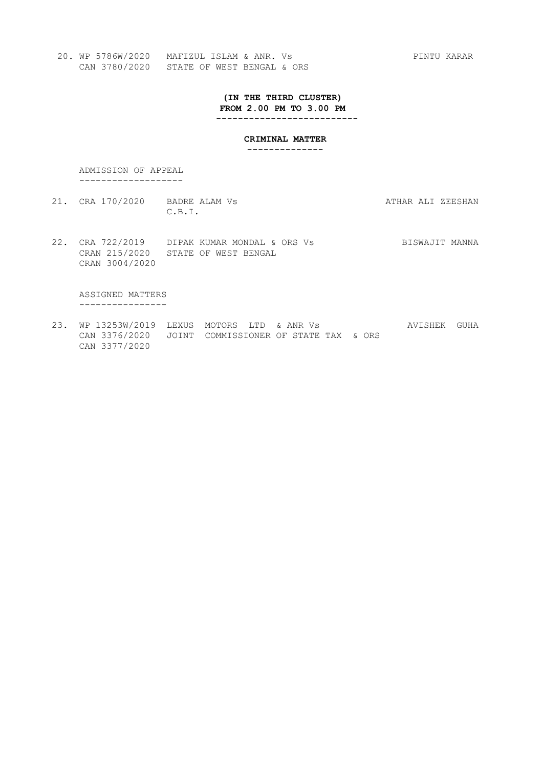**(IN THE THIRD CLUSTER) FROM 2.00 PM TO 3.00 PM --------------------------**

**CRIMINAL MATTER**

 **--------------**

 ADMISSION OF APPEAL -------------------

- 21. CRA 170/2020 BADRE ALAM Vs **ATHAR ALI ZEESHAN** C.B.I.
- 22. CRA 722/2019 DIPAK KUMAR MONDAL & ORS Vs BISWAJIT MANNA CRAN 215/2020 STATE OF WEST BENGAL CRAN 3004/2020

 ASSIGNED MATTERS ----------------

23. WP 13253W/2019 LEXUS MOTORS LTD & ANR Vs AVISHEK GUHA CAN 3376/2020 JOINT COMMISSIONER OF STATE TAX & ORS CAN 3377/2020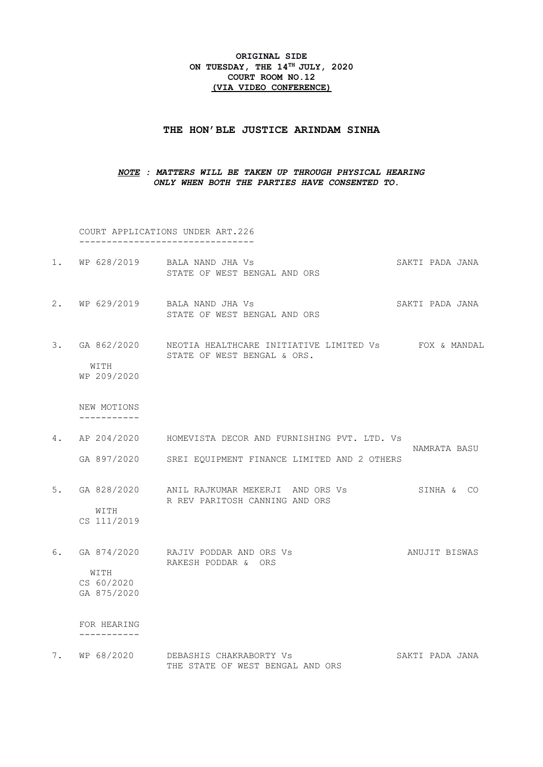## **ORIGINAL SIDE ON TUESDAY, THE 14TH JULY, 2020 COURT ROOM NO.12 (VIA VIDEO CONFERENCE)**

#### **THE HON'BLE JUSTICE ARINDAM SINHA**

# *NOTE : MATTERS WILL BE TAKEN UP THROUGH PHYSICAL HEARING ONLY WHEN BOTH THE PARTIES HAVE CONSENTED TO.*

 COURT APPLICATIONS UNDER ART.226 --------------------------------

- 1. WP 628/2019 BALA NAND JHA Vs SAKTI PADA JANA STATE OF WEST BENGAL AND ORS
- 2. WP 629/2019 BALA NAND JHA Vs SAKTI PADA JANA STATE OF WEST BENGAL AND ORS
- 3. GA 862/2020 NEOTIA HEALTHCARE INITIATIVE LIMITED Vs FOX & MANDAL STATE OF WEST BENGAL & ORS. WITH

WP 209/2020

 NEW MOTIONS -----------

- 4. AP 204/2020 HOMEVISTA DECOR AND FURNISHING PVT. LTD. Vs NAMRATA BASU GA 897/2020 SREI EQUIPMENT FINANCE LIMITED AND 2 OTHERS
- 5. GA 828/2020 ANIL RAJKUMAR MEKERJI AND ORS Vs SINHA & CO R REV PARITOSH CANNING AND ORS WITH

CS 111/2019

6. GA 874/2020 RAJIV PODDAR AND ORS Vs ANUJIT BISWAS RAKESH PODDAR & ORS WITH CS 60/2020 GA 875/2020

 FOR HEARING -----------

7. WP 68/2020 DEBASHIS CHAKRABORTY Vs SAKTI PADA JANA THE STATE OF WEST BENGAL AND ORS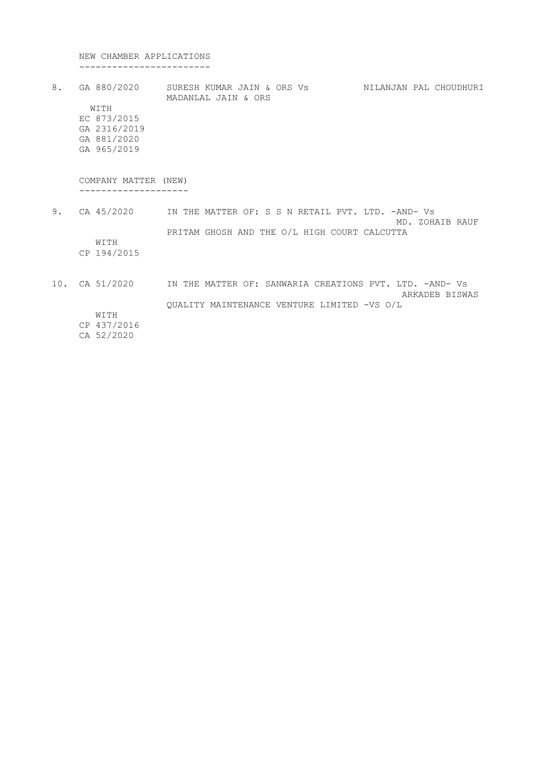NEW CHAMBER APPLICATIONS ------------------------

8. GA 880/2020 SURESH KUMAR JAIN & ORS Vs NILANJAN PAL CHOUDHURI MADANLAL JAIN & ORS WITH EC 873/2015 GA 2316/2019 GA 881/2020 GA 965/2019 COMPANY MATTER (NEW) -------------------- 9. CA 45/2020 IN THE MATTER OF: S S N RETAIL PVT. LTD. -AND- Vs MD. ZOHAIB RAUF PRITAM GHOSH AND THE O/L HIGH COURT CALCUTTA WITH CP 194/2015 10. CA 51/2020 IN THE MATTER OF: SANWARIA CREATIONS PVT. LTD. -AND- Vs ARKADEB BISWAS QUALITY MAINTENANCE VENTURE LIMITED -VS O/L WITH CP 437/2016

CA 52/2020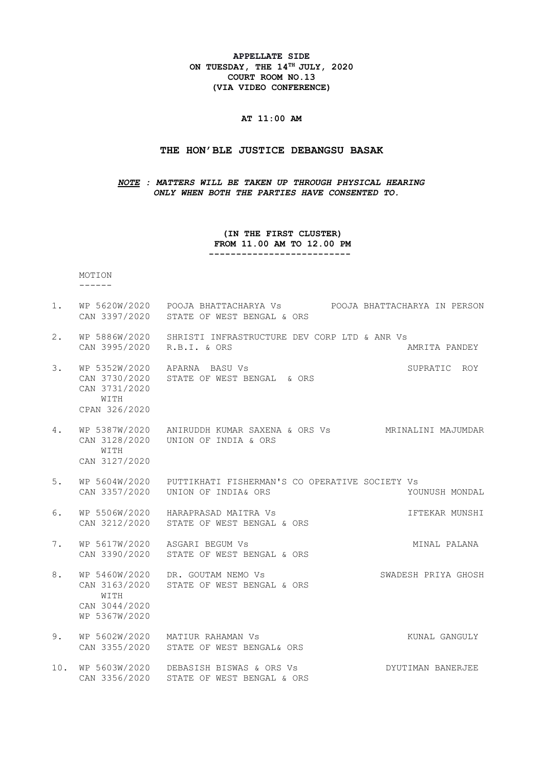**APPELLATE SIDE ON TUESDAY, THE 14TH JULY, 2020 COURT ROOM NO.13 (VIA VIDEO CONFERENCE)**

# **AT 11:00 AM**

#### **THE HON'BLE JUSTICE DEBANGSU BASAK**

## *NOTE : MATTERS WILL BE TAKEN UP THROUGH PHYSICAL HEARING ONLY WHEN BOTH THE PARTIES HAVE CONSENTED TO.*

### **(IN THE FIRST CLUSTER) FROM 11.00 AM TO 12.00 PM --------------------------**

 MOTION ------

- 1. WP 5620W/2020 POOJA BHATTACHARYA Vs POOJA BHATTACHARYA IN PERSON CAN 3397/2020 STATE OF WEST BENGAL & ORS
- 2. WP 5886W/2020 SHRISTI INFRASTRUCTURE DEV CORP LTD & ANR Vs CAN 3995/2020 R.B.I. & ORS AMRITA PANDEY
- 3. WP 5352W/2020 APARNA BASU Vs SUPRATIC ROY CAN 3730/2020 STATE OF WEST BENGAL & ORS CAN 3731/2020 WITH
- CPAN 326/2020
- 4. WP 5387W/2020 ANIRUDDH KUMAR SAXENA & ORS Vs MRINALINI MAJUMDAR CAN 3128/2020 UNION OF INDIA & ORS WITH
- CAN 3127/2020
- 5. WP 5604W/2020 PUTTIKHATI FISHERMAN'S CO OPERATIVE SOCIETY Vs CAN 3357/2020 UNION OF INDIA& ORS YOUNUSH MONDAL
- 6. WP 5506W/2020 HARAPRASAD MAITRA Vs **IFTEKAR MUNSHI** CAN 3212/2020 STATE OF WEST BENGAL & ORS
- 7. WP 5617W/2020 ASGARI BEGUM Vs **MINAL PALANA** CAN 3390/2020 STATE OF WEST BENGAL & ORS
- 8. WP 5460W/2020 DR. GOUTAM NEMO Vs SWADESH PRIYA GHOSH CAN 3163/2020 STATE OF WEST BENGAL & ORS WITH CAN 3044/2020 WP 5367W/2020
- 9. WP 5602W/2020 MATIUR RAHAMAN Vs **KUNAL GANGULY** CAN 3355/2020 STATE OF WEST BENGAL& ORS
- 10. WP 5603W/2020 DEBASISH BISWAS & ORS Vs DYUTIMAN BANERJEE CAN 3356/2020 STATE OF WEST BENGAL & ORS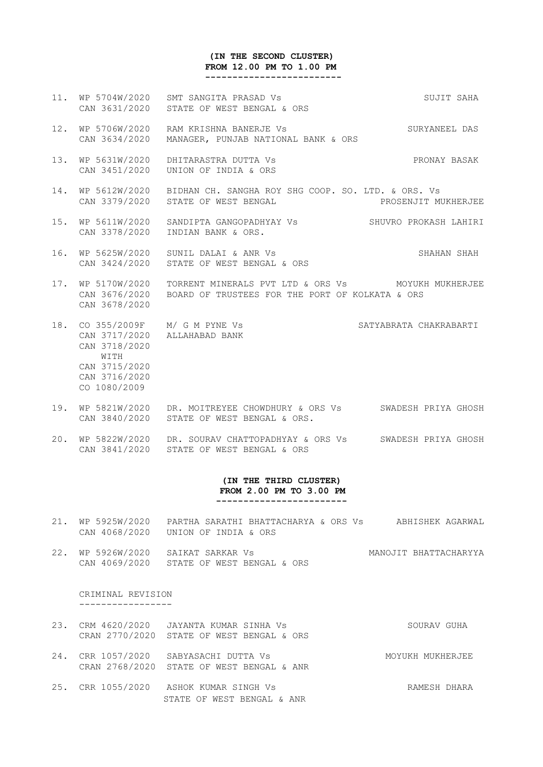### **(IN THE SECOND CLUSTER) FROM 12.00 PM TO 1.00 PM -------------------------**

- 11. WP 5704W/2020 SMT SANGITA PRASAD Vs SUJIT SAHA CAN 3631/2020 STATE OF WEST BENGAL & ORS
- 12. WP 5706W/2020 RAM KRISHNA BANERJE Vs SURYANEEL DAS CAN 3634/2020 MANAGER, PUNJAB NATIONAL BANK & ORS
- 13. WP 5631W/2020 DHITARASTRA DUTTA Vs PRONAY BASAK CAN 3451/2020 UNION OF INDIA & ORS
- 14. WP 5612W/2020 BIDHAN CH. SANGHA ROY SHG COOP. SO. LTD. & ORS. Vs CAN 3379/2020 STATE OF WEST BENGAL **Example 20 FOR PROSENJIT MUKHERJEE**
- 15. WP 5611W/2020 SANDIPTA GANGOPADHYAY Vs SHUVRO PROKASH LAHIRI CAN 3378/2020 INDIAN BANK & ORS.
- 16. WP 5625W/2020 SUNIL DALAI & ANR Vs SHAHAN SHAH CAN 3424/2020 STATE OF WEST BENGAL & ORS
- 17. WP 5170W/2020 TORRENT MINERALS PVT LTD & ORS Vs MOYUKH MUKHERJEE CAN 3676/2020 BOARD OF TRUSTEES FOR THE PORT OF KOLKATA & ORS CAN 3678/2020
- 18. CO 355/2009F M/ G M PYNE Vs SATYABRATA CHAKRABARTI CAN 3717/2020 ALLAHABAD BANK CAN 3718/2020 **WITH**  CAN 3715/2020 CAN 3716/2020 CO 1080/2009
- 19. WP 5821W/2020 DR. MOITREYEE CHOWDHURY & ORS Vs SWADESH PRIYA GHOSH CAN 3840/2020 STATE OF WEST BENGAL & ORS.
- 20. WP 5822W/2020 DR. SOURAV CHATTOPADHYAY & ORS Vs SWADESH PRIYA GHOSH CAN 3841/2020 STATE OF WEST BENGAL & ORS

#### **(IN THE THIRD CLUSTER) FROM 2.00 PM TO 3.00 PM ------------------------**

- 21. WP 5925W/2020 PARTHA SARATHI BHATTACHARYA & ORS Vs ABHISHEK AGARWAL CAN 4068/2020 UNION OF INDIA & ORS
- 22. WP 5926W/2020 SAIKAT SARKAR Vs MANOJIT BHATTACHARYYA CAN 4069/2020 STATE OF WEST BENGAL & ORS

#### CRIMINAL REVISION -----------------

- 23. CRM 4620/2020 JAYANTA KUMAR SINHA Vs SOURAV GUHA CRAN 2770/2020 STATE OF WEST BENGAL & ORS
- 24. CRR 1057/2020 SABYASACHI DUTTA Vs MOYUKH MUKHERJEE CRAN 2768/2020 STATE OF WEST BENGAL & ANR
- 25. CRR 1055/2020 ASHOK KUMAR SINGH Vs CHARA RAMESH DHARA STATE OF WEST BENGAL & ANR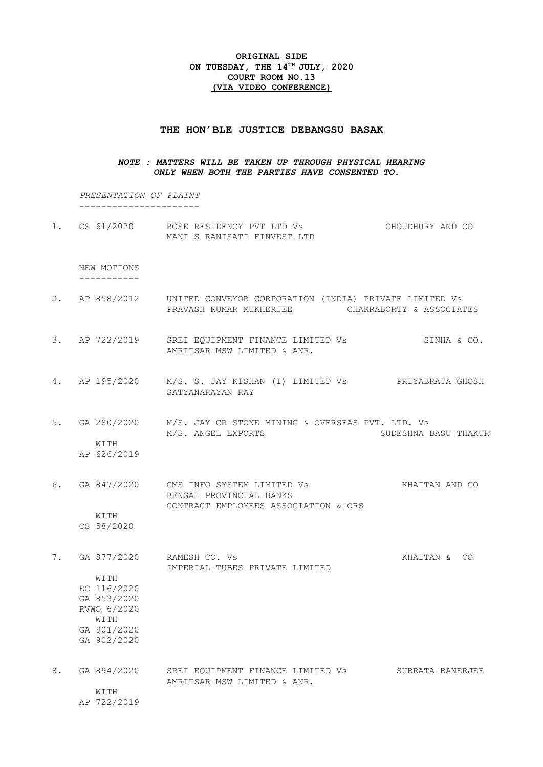## **ORIGINAL SIDE ON TUESDAY, THE 14TH JULY, 2020 COURT ROOM NO.13 (VIA VIDEO CONFERENCE)**

#### **THE HON'BLE JUSTICE DEBANGSU BASAK**

## *NOTE : MATTERS WILL BE TAKEN UP THROUGH PHYSICAL HEARING ONLY WHEN BOTH THE PARTIES HAVE CONSENTED TO.*

 *PRESENTATION OF PLAINT* ----------------------

1. CS 61/2020 ROSE RESIDENCY PVT LTD Vs CHOUDHURY AND CO MANI S RANISATI FINVEST LTD

 NEW MOTIONS -----------

- 2. AP 858/2012 UNITED CONVEYOR CORPORATION (INDIA) PRIVATE LIMITED Vs PRAVASH KUMAR MUKHERJEE CHAKRABORTY & ASSOCIATES
- 3. AP 722/2019 SREI EQUIPMENT FINANCE LIMITED Vs SINHA & CO. AMRITSAR MSW LIMITED & ANR.
- 4. AP 195/2020 M/S. S. JAY KISHAN (I) LIMITED Vs PRIYABRATA GHOSH SATYANARAYAN RAY
- 5. GA 280/2020 M/S. JAY CR STONE MINING & OVERSEAS PVT. LTD. Vs M/S. ANGEL EXPORTS SUDESHNA BASU THAKUR WITH

AP 626/2019

6. GA 847/2020 CMS INFO SYSTEM LIMITED Vs KHAITAN AND CO BENGAL PROVINCIAL BANKS CONTRACT EMPLOYEES ASSOCIATION & ORS WITH

CS 58/2020

7. GA 877/2020 RAMESH CO. Vs Sand Control Control Control Control Control Control Control Control Co IMPERIAL TUBES PRIVATE LIMITED WITH EC 116/2020 GA 853/2020 RVWO 6/2020 WITH GA 901/2020 GA 902/2020 8. GA 894/2020 SREI EQUIPMENT FINANCE LIMITED Vs SUBRATA BANERJEE AMRITSAR MSW LIMITED & ANR. **WITH** AP 722/2019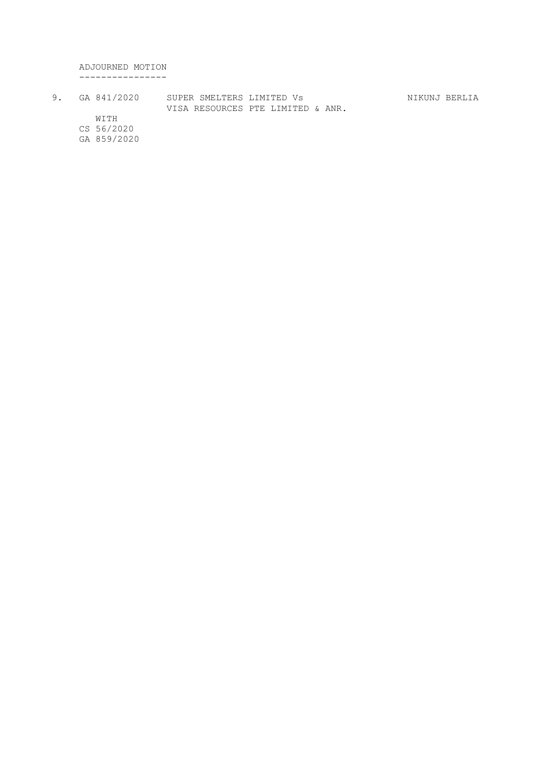ADJOURNED MOTION ----------------

9. GA 841/2020 SUPER SMELTERS LIMITED Vs NIKUNJ BERLIA VISA RESOURCES PTE LIMITED & ANR. WITH

CS 56/2020

GA 859/2020